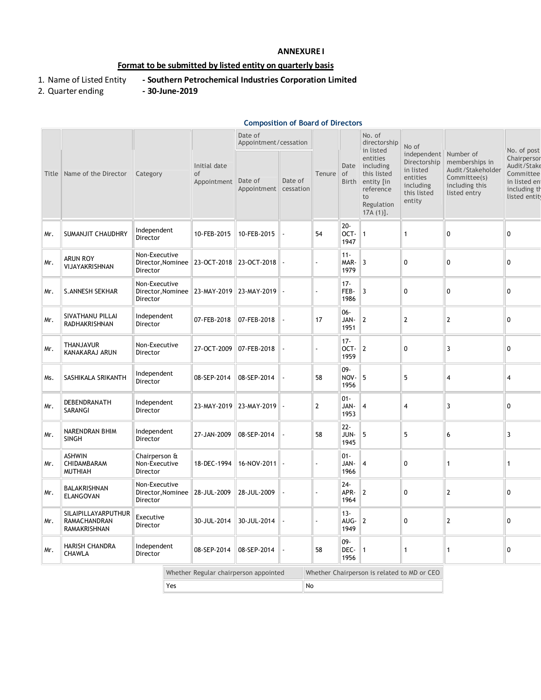## **ANNEXURE I**

# **Format to be submitted by listed entity on quarterly basis**

- 1. Name of Listed Entity **- Southern Petrochemical Industries Corporation Limited**
- 2. Quarter ending **- 30-June-2019**
- 

### **Composition of Board of Directors**

|       |                                                            |                                                              |             |                                   | Date of<br>Appointment/cessation |                      |                                             |                            | No. of<br>directorship<br>in listed                                                               | No of                                                                                                |                                                                                       | No. of post                                                                             |
|-------|------------------------------------------------------------|--------------------------------------------------------------|-------------|-----------------------------------|----------------------------------|----------------------|---------------------------------------------|----------------------------|---------------------------------------------------------------------------------------------------|------------------------------------------------------------------------------------------------------|---------------------------------------------------------------------------------------|-----------------------------------------------------------------------------------------|
| Title | Name of the Director                                       | Category                                                     |             | Initial date<br>of<br>Appointment | Date of<br>Appointment           | Date of<br>cessation | Tenure                                      | Date<br><b>of</b><br>Birth | entities<br>including<br>this listed<br>entity [in<br>reference<br>to<br>Regulation<br>$17A(1)$ . | independent Number of<br>Directorship<br>in listed<br>entities<br>including<br>this listed<br>entity | memberships in<br>Audit/Stakeholder<br>Committee(s)<br>including this<br>listed entry | Chairpersor<br>Audit/Stake<br>Committee<br>in listed en<br>including th<br>listed entit |
| Mr.   | <b>SUMANJIT CHAUDHRY</b>                                   | Independent<br>Director                                      |             | 10-FEB-2015                       | 10-FEB-2015                      |                      | 54                                          | $20 -$<br>OCT-<br>1947     | 1                                                                                                 | $\mathbf{1}$                                                                                         | 0                                                                                     | $\mathbf 0$                                                                             |
| Mr.   | <b>ARUN ROY</b><br>VIJAYAKRISHNAN                          | Non-Executive<br>Director, Nominee   23-OCT-2018<br>Director |             |                                   | 23-OCT-2018                      |                      |                                             | $11 -$<br>MAR-<br>1979     | $\overline{3}$                                                                                    | $\pmb{0}$                                                                                            | 0                                                                                     | $\mathbf 0$                                                                             |
| Mr.   | <b>S.ANNESH SEKHAR</b>                                     | Non-Executive<br>Director, Nominee<br>Director               |             | 23-MAY-2019                       | 23-MAY-2019                      |                      |                                             | $17 -$<br>FEB-<br>1986     | 3                                                                                                 | 0                                                                                                    | 0                                                                                     | $\mathbf 0$                                                                             |
| Mr.   | SIVATHANU PILLAI<br>RADHAKRISHNAN                          | Independent<br>Director                                      |             | 07-FEB-2018                       | 07-FEB-2018                      |                      | 17                                          | $06 -$<br>JAN-<br>1951     | $\overline{2}$                                                                                    | $\mathbf{2}$                                                                                         | $\mathbf{2}$                                                                          | 0                                                                                       |
| Mr.   | <b>THANJAVUR</b><br>KANAKARAJ ARUN                         | Non-Executive<br>Director                                    |             | 27-OCT-2009                       | 07-FEB-2018                      |                      |                                             | $17 -$<br>OCT-<br>1959     | $\boldsymbol{2}$                                                                                  | 0                                                                                                    | 3                                                                                     | $\Omega$                                                                                |
| Ms.   | SASHIKALA SRIKANTH                                         | Independent<br>Director                                      |             | 08-SEP-2014                       | 08-SEP-2014                      |                      | 58                                          | $09 -$<br>NOV-<br>1956     | 5                                                                                                 | 5                                                                                                    | 4                                                                                     | $\overline{\mathbf{4}}$                                                                 |
| Mr.   | DEBENDRANATH<br>SARANGI                                    | Independent<br>Director                                      |             | 23-MAY-2019                       | 23-MAY-2019                      |                      | $\mathbf{2}$                                | $01 -$<br>JAN-<br>1953     | 4                                                                                                 | $\overline{\mathbf{4}}$                                                                              | 3                                                                                     | $\mathbf 0$                                                                             |
| Mr.   | NARENDRAN BHIM<br><b>SINGH</b>                             | Independent<br>Director                                      |             | 27-JAN-2009                       | 08-SEP-2014                      |                      | 58                                          | $22 -$<br>JUN-<br>1945     | 5                                                                                                 | 5                                                                                                    | 6                                                                                     | $\overline{3}$                                                                          |
| Mr.   | <b>ASHWIN</b><br>CHIDAMBARAM<br><b>MUTHIAH</b>             | Chairperson &<br>Non-Executive<br>Director                   |             | 18-DEC-1994                       | 16-NOV-2011                      |                      |                                             | $01 -$<br>JAN-<br>1966     | $\overline{4}$                                                                                    | 0                                                                                                    | $\mathbf{1}$                                                                          | $\mathbf{1}$                                                                            |
| Mr.   | BALAKRISHNAN<br><b>ELANGOVAN</b>                           | Non-Executive<br>Director, Nominee<br>Director               |             | 28-JUL-2009                       | 28-JUL-2009                      |                      |                                             | $24 -$<br>APR-<br>1964     | $\overline{2}$                                                                                    | 0                                                                                                    | $\overline{2}$                                                                        | 0                                                                                       |
| Mr.   | SILAIPILLAYARPUTHUR<br>RAMACHANDRAN<br><b>RAMAKRISHNAN</b> | Executive<br>Director                                        |             | 30-JUL-2014                       | 30-JUL-2014                      |                      |                                             | $13 -$<br>AUG-<br>1949     | $\boldsymbol{2}$                                                                                  | $\pmb{0}$                                                                                            | $\mathbf 2$                                                                           | $\mathbf{0}$                                                                            |
| Mr.   | HARISH CHANDRA<br>Independent<br>Director<br><b>CHAWLA</b> |                                                              | 08-SEP-2014 | 08-SEP-2014                       |                                  | 58                   | $09 -$<br>DEC-<br>1956                      | $\mathbf{1}$               | 1                                                                                                 | $\mathbf{1}$                                                                                         | $\pmb{0}$                                                                             |                                                                                         |
|       | Whether Regular chairperson appointed                      |                                                              |             |                                   |                                  |                      | Whether Chairperson is related to MD or CEO |                            |                                                                                                   |                                                                                                      |                                                                                       |                                                                                         |
| Yes   |                                                            |                                                              |             |                                   | No                               |                      |                                             |                            |                                                                                                   |                                                                                                      |                                                                                       |                                                                                         |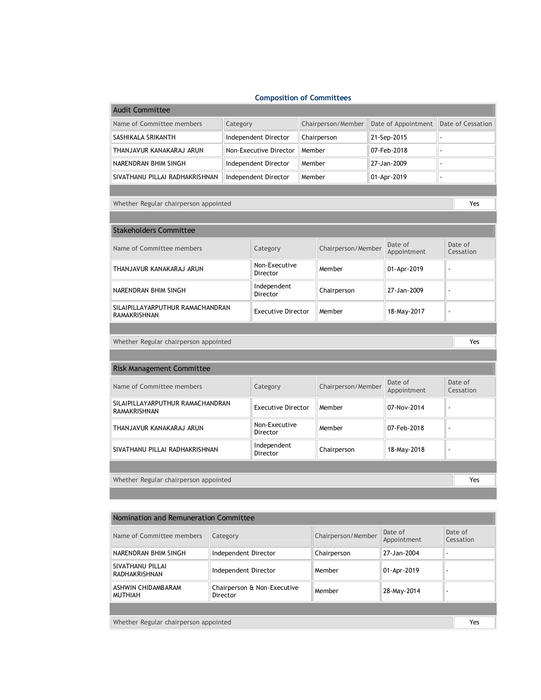## **Composition of Committees**

 $\sim$ 

| <b>Audit Committee</b>                                  |                                        |                                |                    |             |                        |                     |                      |                   |  |  |
|---------------------------------------------------------|----------------------------------------|--------------------------------|--------------------|-------------|------------------------|---------------------|----------------------|-------------------|--|--|
| Name of Committee members                               | Category                               |                                | Chairperson/Member |             |                        | Date of Appointment |                      | Date of Cessation |  |  |
| SASHIKALA SRIKANTH                                      | Independent Director                   |                                | Chairperson        |             | 21-Sep-2015            |                     |                      |                   |  |  |
| THANJAVUR KANAKARAJ ARUN                                |                                        | Non-Executive Director         |                    | Member      |                        | 07-Feb-2018         |                      |                   |  |  |
| NARENDRAN BHIM SINGH                                    |                                        | Independent Director           |                    | Member      |                        | 27-Jan-2009         |                      |                   |  |  |
| SIVATHANU PILLAI RADHAKRISHNAN                          |                                        | Independent Director<br>Member |                    |             |                        | 01-Apr-2019         |                      | ÷,                |  |  |
|                                                         |                                        |                                |                    |             |                        |                     |                      |                   |  |  |
| Whether Regular chairperson appointed<br>Yes            |                                        |                                |                    |             |                        |                     |                      |                   |  |  |
|                                                         |                                        |                                |                    |             |                        |                     |                      |                   |  |  |
| <b>Stakeholders Committee</b>                           |                                        |                                |                    |             |                        |                     |                      |                   |  |  |
| Name of Committee members                               | Category                               |                                | Chairperson/Member |             | Date of<br>Appointment |                     | Date of<br>Cessation |                   |  |  |
| THANJAVUR KANAKARAJ ARUN                                | Non-Executive<br>Director              |                                | Member             |             | 01-Apr-2019            |                     |                      |                   |  |  |
| NARENDRAN BHIM SINGH                                    | Independent<br>Director                |                                | Chairperson        |             | 27-Jan-2009            |                     |                      |                   |  |  |
| SILAIPILLAYARPUTHUR RAMACHANDRAN<br><b>RAMAKRISHNAN</b> | <b>Executive Director</b>              |                                | Member             |             | 18-May-2017            |                     |                      |                   |  |  |
|                                                         |                                        |                                |                    |             |                        |                     |                      |                   |  |  |
| Whether Regular chairperson appointed<br>Yes            |                                        |                                |                    |             |                        |                     |                      |                   |  |  |
|                                                         |                                        |                                |                    |             |                        |                     |                      |                   |  |  |
| <b>Risk Management Committee</b>                        |                                        |                                |                    |             |                        |                     |                      |                   |  |  |
| Name of Committee members                               | Category                               |                                | Chairperson/Member |             | Date of<br>Appointment |                     | Date of<br>Cessation |                   |  |  |
| SILAIPILLAYARPUTHUR RAMACHANDRAN<br><b>RAMAKRISHNAN</b> | <b>Executive Director</b>              |                                | Member             |             | 07-Nov-2014            |                     |                      |                   |  |  |
| THANJAVUR KANAKARAJ ARUN                                | Non-Executive<br>Director              |                                | Member             |             | 07-Feb-2018            |                     |                      |                   |  |  |
| SIVATHANU PILLAI RADHAKRISHNAN                          | Independent<br>Chairperson<br>Director |                                |                    | 18-May-2018 |                        | ÷.                  |                      |                   |  |  |
|                                                         |                                        |                                |                    |             |                        |                     |                      |                   |  |  |
| Whether Regular chairperson appointed                   |                                        |                                |                    |             |                        |                     |                      | Yes               |  |  |
|                                                         |                                        |                                |                    |             |                        |                     |                      |                   |  |  |

| Nomination and Remuneration Committee |                                         |                    |                        |                      |  |  |  |  |  |
|---------------------------------------|-----------------------------------------|--------------------|------------------------|----------------------|--|--|--|--|--|
| Name of Committee members             | Category                                | Chairperson/Member | Date of<br>Appointment | Date of<br>Cessation |  |  |  |  |  |
| NARENDRAN BHIM SINGH                  | Independent Director                    | Chairperson        | 27-Jan-2004            |                      |  |  |  |  |  |
| SIVATHANU PILLAI<br>RADHAKRISHNAN     | Independent Director                    | Member             | 01-Apr-2019            |                      |  |  |  |  |  |
| ASHWIN CHIDAMBARAM<br><b>MUTHIAH</b>  | Chairperson & Non-Executive<br>Director | Member             | 28-May-2014            |                      |  |  |  |  |  |
|                                       |                                         |                    |                        |                      |  |  |  |  |  |
| Whether Regular chairperson appointed |                                         |                    |                        |                      |  |  |  |  |  |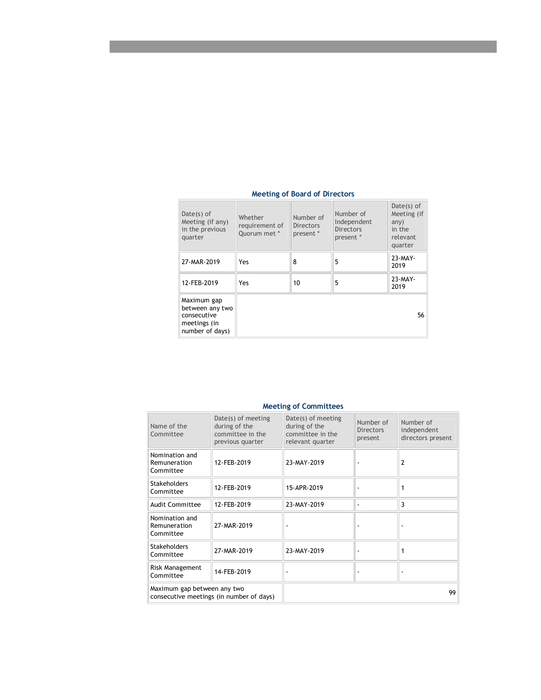| $Date(s)$ of<br>Meeting (if any)<br>in the previous<br>quarter                   | Whether<br>requirement of<br>Ouorum met * | Number of<br><b>Directors</b><br>present * | Number of<br>Independent<br><b>Directors</b><br>present * | Date $(s)$ of<br>Meeting (if<br>any)<br>in the<br>relevant<br>quarter |
|----------------------------------------------------------------------------------|-------------------------------------------|--------------------------------------------|-----------------------------------------------------------|-----------------------------------------------------------------------|
| 27-MAR-2019                                                                      | Yes                                       | 8                                          | 5                                                         | $23-MAY-$<br>2019                                                     |
| 12-FEB-2019                                                                      | Yes                                       | 10                                         | 5                                                         | $23-MAY-$<br>2019                                                     |
| Maximum gap<br>between any two<br>consecutive<br>meetings (in<br>number of days) |                                           |                                            |                                                           | 56                                                                    |

#### **Meeting of Board of Directors**

| Name of the<br>Committee                        | Date(s) of meeting<br>during of the<br>committee in the<br>previous quarter | Date(s) of meeting<br>during of the<br>committee in the<br>relevant quarter | Number of<br><b>Directors</b><br>present | Number of<br>independent<br>directors present |
|-------------------------------------------------|-----------------------------------------------------------------------------|-----------------------------------------------------------------------------|------------------------------------------|-----------------------------------------------|
| Nomination and<br>Remuneration<br>Committee     | 12-FEB-2019                                                                 | 23-MAY-2019                                                                 |                                          | 2                                             |
| <b>Stakeholders</b><br>Committee                | 12-FEB-2019                                                                 | 15-APR-2019                                                                 |                                          |                                               |
| Audit Committee                                 | 12-FEB-2019                                                                 | 23-MAY-2019                                                                 |                                          | 3                                             |
| Nomination and<br>Remuneration<br>Committee     | 27-MAR-2019                                                                 |                                                                             |                                          |                                               |
| <b>Stakeholders</b><br>27-MAR-2019<br>Committee |                                                                             | 23-MAY-2019                                                                 |                                          |                                               |
| Risk Management<br>14-FEB-2019<br>Committee     |                                                                             |                                                                             |                                          |                                               |
| Maximum gap between any two                     | consecutive meetings (in number of days)                                    |                                                                             |                                          | 99                                            |

## **Meeting of Committees**